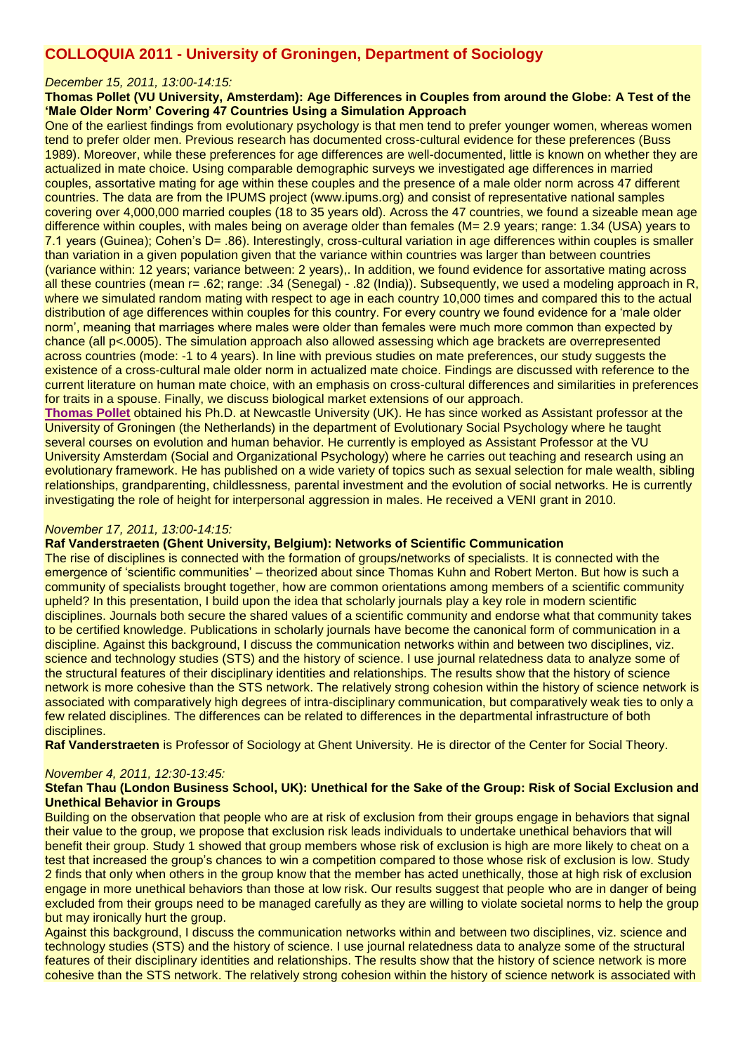# **COLLOQUIA 2011 - University of Groningen, Department of Sociology**

#### *December 15, 2011, 13:00-14:15:*

#### **Thomas Pollet (VU University, Amsterdam): Age Differences in Couples from around the Globe: A Test of the 'Male Older Norm' Covering 47 Countries Using a Simulation Approach**

One of the earliest findings from evolutionary psychology is that men tend to prefer younger women, whereas women tend to prefer older men. Previous research has documented cross-cultural evidence for these preferences (Buss 1989). Moreover, while these preferences for age differences are well-documented, little is known on whether they are actualized in mate choice. Using comparable demographic surveys we investigated age differences in married couples, assortative mating for age within these couples and the presence of a male older norm across 47 different countries. The data are from the IPUMS project (www.ipums.org) and consist of representative national samples covering over 4,000,000 married couples (18 to 35 years old). Across the 47 countries, we found a sizeable mean age difference within couples, with males being on average older than females (M= 2.9 years; range: 1.34 (USA) years to 7.1 years (Guinea); Cohen's D= .86). Interestingly, cross-cultural variation in age differences within couples is smaller than variation in a given population given that the variance within countries was larger than between countries (variance within: 12 years; variance between: 2 years),. In addition, we found evidence for assortative mating across all these countries (mean r= .62; range: .34 (Senegal) - .82 (India)). Subsequently, we used a modeling approach in R, where we simulated random mating with respect to age in each country 10,000 times and compared this to the actual distribution of age differences within couples for this country. For every country we found evidence for a 'male older norm', meaning that marriages where males were older than females were much more common than expected by chance (all p<.0005). The simulation approach also allowed assessing which age brackets are overrepresented across countries (mode: -1 to 4 years). In line with previous studies on mate preferences, our study suggests the existence of a cross-cultural male older norm in actualized mate choice. Findings are discussed with reference to the current literature on human mate choice, with an emphasis on cross-cultural differences and similarities in preferences for traits in a spouse. Finally, we discuss biological market extensions of our approach.

**[Thomas Pollet](http://sites.google.com/site/thomasvpollet)** obtained his Ph.D. at Newcastle University (UK). He has since worked as Assistant professor at the University of Groningen (the Netherlands) in the department of Evolutionary Social Psychology where he taught several courses on evolution and human behavior. He currently is employed as Assistant Professor at the VU University Amsterdam (Social and Organizational Psychology) where he carries out teaching and research using an evolutionary framework. He has published on a wide variety of topics such as sexual selection for male wealth, sibling relationships, grandparenting, childlessness, parental investment and the evolution of social networks. He is currently investigating the role of height for interpersonal aggression in males. He received a VENI grant in 2010.

#### *November 17, 2011, 13:00-14:15:*

## **Raf Vanderstraeten (Ghent University, Belgium): Networks of Scientific Communication**

The rise of disciplines is connected with the formation of groups/networks of specialists. It is connected with the emergence of 'scientific communities' – theorized about since Thomas Kuhn and Robert Merton. But how is such a community of specialists brought together, how are common orientations among members of a scientific community upheld? In this presentation, I build upon the idea that scholarly journals play a key role in modern scientific disciplines. Journals both secure the shared values of a scientific community and endorse what that community takes to be certified knowledge. Publications in scholarly journals have become the canonical form of communication in a discipline. Against this background, I discuss the communication networks within and between two disciplines, viz. science and technology studies (STS) and the history of science. I use journal relatedness data to analyze some of the structural features of their disciplinary identities and relationships. The results show that the history of science network is more cohesive than the STS network. The relatively strong cohesion within the history of science network is associated with comparatively high degrees of intra-disciplinary communication, but comparatively weak ties to only a few related disciplines. The differences can be related to differences in the departmental infrastructure of both disciplines.

**Raf Vanderstraeten** is Professor of Sociology at Ghent University. He is director of the Center for Social Theory.

#### *November 4, 2011, 12:30-13:45:*

# **Stefan Thau (London Business School, UK): Unethical for the Sake of the Group: Risk of Social Exclusion and Unethical Behavior in Groups**

Building on the observation that people who are at risk of exclusion from their groups engage in behaviors that signal their value to the group, we propose that exclusion risk leads individuals to undertake unethical behaviors that will benefit their group. Study 1 showed that group members whose risk of exclusion is high are more likely to cheat on a test that increased the group's chances to win a competition compared to those whose risk of exclusion is low. Study 2 finds that only when others in the group know that the member has acted unethically, those at high risk of exclusion engage in more unethical behaviors than those at low risk. Our results suggest that people who are in danger of being excluded from their groups need to be managed carefully as they are willing to violate societal norms to help the group but may ironically hurt the group.

Against this background, I discuss the communication networks within and between two disciplines, viz. science and technology studies (STS) and the history of science. I use journal relatedness data to analyze some of the structural features of their disciplinary identities and relationships. The results show that the history of science network is more cohesive than the STS network. The relatively strong cohesion within the history of science network is associated with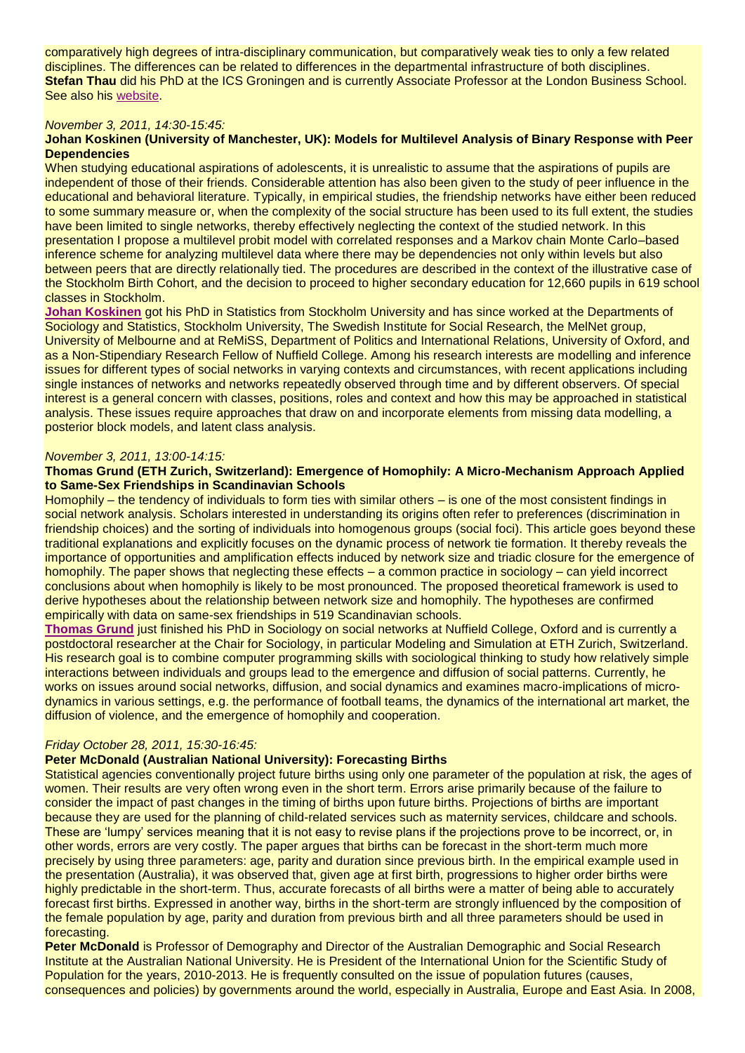comparatively high degrees of intra-disciplinary communication, but comparatively weak ties to only a few related disciplines. The differences can be related to differences in the departmental infrastructure of both disciplines. **Stefan Thau** did his PhD at the ICS Groningen and is currently Associate Professor at the London Business School. See also his [website.](http://www.london.edu/facultyandresearch/faculty/search.do?uid=sthau)

# *November 3, 2011, 14:30-15:45:*

# **Johan Koskinen (University of Manchester, UK): Models for Multilevel Analysis of Binary Response with Peer Dependencies**

When studying educational aspirations of adolescents, it is unrealistic to assume that the aspirations of pupils are independent of those of their friends. Considerable attention has also been given to the study of peer influence in the educational and behavioral literature. Typically, in empirical studies, the friendship networks have either been reduced to some summary measure or, when the complexity of the social structure has been used to its full extent, the studies have been limited to single networks, thereby effectively neglecting the context of the studied network. In this presentation I propose a multilevel probit model with correlated responses and a Markov chain Monte Carlo–based inference scheme for analyzing multilevel data where there may be dependencies not only within levels but also between peers that are directly relationally tied. The procedures are described in the context of the illustrative case of the Stockholm Birth Cohort, and the decision to proceed to higher secondary education for 12,660 pupils in 619 school classes in Stockholm.

**[Johan Koskinen](http://www.ccsr.ac.uk/staff/jk.htm)** got his PhD in Statistics from Stockholm University and has since worked at the Departments of Sociology and Statistics, Stockholm University, The Swedish Institute for Social Research, the MelNet group, University of Melbourne and at ReMiSS, Department of Politics and International Relations, University of Oxford, and as a Non-Stipendiary Research Fellow of Nuffield College. Among his research interests are modelling and inference issues for different types of social networks in varying contexts and circumstances, with recent applications including single instances of networks and networks repeatedly observed through time and by different observers. Of special interest is a general concern with classes, positions, roles and context and how this may be approached in statistical analysis. These issues require approaches that draw on and incorporate elements from missing data modelling, a posterior block models, and latent class analysis.

#### *November 3, 2011, 13:00-14:15:*

## **Thomas Grund (ETH Zurich, Switzerland): Emergence of Homophily: A Micro-Mechanism Approach Applied to Same-Sex Friendships in Scandinavian Schools**

Homophily – the tendency of individuals to form ties with similar others – is one of the most consistent findings in social network analysis. Scholars interested in understanding its origins often refer to preferences (discrimination in friendship choices) and the sorting of individuals into homogenous groups (social foci). This article goes beyond these traditional explanations and explicitly focuses on the dynamic process of network tie formation. It thereby reveals the importance of opportunities and amplification effects induced by network size and triadic closure for the emergence of homophily. The paper shows that neglecting these effects – a common practice in sociology – can yield incorrect conclusions about when homophily is likely to be most pronounced. The proposed theoretical framework is used to derive hypotheses about the relationship between network size and homophily. The hypotheses are confirmed empirically with data on same-sex friendships in 519 Scandinavian schools.

**[Thomas Grund](http://grund.co.uk/)** just finished his PhD in Sociology on social networks at Nuffield College, Oxford and is currently a postdoctoral researcher at the Chair for Sociology, in particular Modeling and Simulation at ETH Zurich, Switzerland. His research goal is to combine computer programming skills with sociological thinking to study how relatively simple interactions between individuals and groups lead to the emergence and diffusion of social patterns. Currently, he works on issues around social networks, diffusion, and social dynamics and examines macro-implications of microdynamics in various settings, e.g. the performance of football teams, the dynamics of the international art market, the diffusion of violence, and the emergence of homophily and cooperation.

## *Friday October 28, 2011, 15:30-16:45:*

# **Peter McDonald (Australian National University): Forecasting Births**

Statistical agencies conventionally project future births using only one parameter of the population at risk, the ages of women. Their results are very often wrong even in the short term. Errors arise primarily because of the failure to consider the impact of past changes in the timing of births upon future births. Projections of births are important because they are used for the planning of child-related services such as maternity services, childcare and schools. These are 'lumpy' services meaning that it is not easy to revise plans if the projections prove to be incorrect, or, in other words, errors are very costly. The paper argues that births can be forecast in the short-term much more precisely by using three parameters: age, parity and duration since previous birth. In the empirical example used in the presentation (Australia), it was observed that, given age at first birth, progressions to higher order births were highly predictable in the short-term. Thus, accurate forecasts of all births were a matter of being able to accurately forecast first births. Expressed in another way, births in the short-term are strongly influenced by the composition of the female population by age, parity and duration from previous birth and all three parameters should be used in forecasting.

**Peter McDonald** is Professor of Demography and Director of the Australian Demographic and Social Research Institute at the Australian National University. He is President of the International Union for the Scientific Study of Population for the years, 2010-2013. He is frequently consulted on the issue of population futures (causes, consequences and policies) by governments around the world, especially in Australia, Europe and East Asia. In 2008,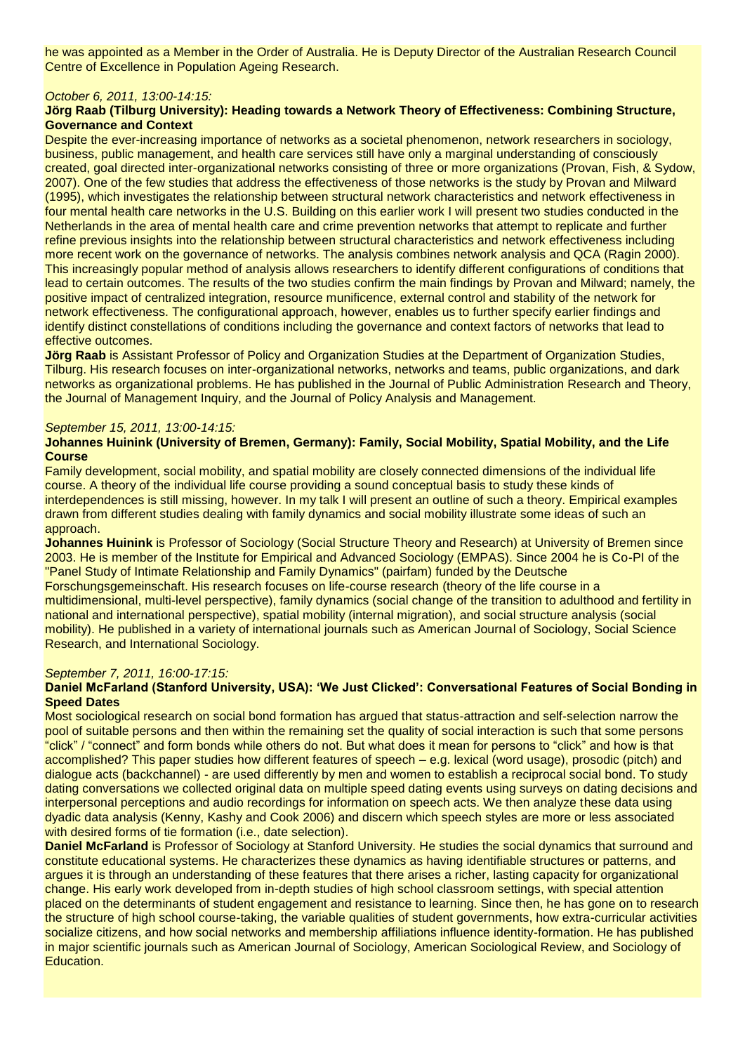he was appointed as a Member in the Order of Australia. He is Deputy Director of the Australian Research Council Centre of Excellence in Population Ageing Research.

# *October 6, 2011, 13:00-14:15:*

# **Jörg Raab (Tilburg University): Heading towards a Network Theory of Effectiveness: Combining Structure, Governance and Context**

Despite the ever-increasing importance of networks as a societal phenomenon, network researchers in sociology, business, public management, and health care services still have only a marginal understanding of consciously created, goal directed inter-organizational networks consisting of three or more organizations (Provan, Fish, & Sydow, 2007). One of the few studies that address the effectiveness of those networks is the study by Provan and Milward (1995), which investigates the relationship between structural network characteristics and network effectiveness in four mental health care networks in the U.S. Building on this earlier work I will present two studies conducted in the Netherlands in the area of mental health care and crime prevention networks that attempt to replicate and further refine previous insights into the relationship between structural characteristics and network effectiveness including more recent work on the governance of networks. The analysis combines network analysis and QCA (Ragin 2000). This increasingly popular method of analysis allows researchers to identify different configurations of conditions that lead to certain outcomes. The results of the two studies confirm the main findings by Provan and Milward; namely, the positive impact of centralized integration, resource munificence, external control and stability of the network for network effectiveness. The configurational approach, however, enables us to further specify earlier findings and identify distinct constellations of conditions including the governance and context factors of networks that lead to effective outcomes.

**Jörg Raab** is Assistant Professor of Policy and Organization Studies at the Department of Organization Studies, Tilburg. His research focuses on inter-organizational networks, networks and teams, public organizations, and dark networks as organizational problems. He has published in the Journal of Public Administration Research and Theory, the Journal of Management Inquiry, and the Journal of Policy Analysis and Management.

## *September 15, 2011, 13:00-14:15:*

# **Johannes Huinink (University of Bremen, Germany): Family, Social Mobility, Spatial Mobility, and the Life Course**

Family development, social mobility, and spatial mobility are closely connected dimensions of the individual life course. A theory of the individual life course providing a sound conceptual basis to study these kinds of interdependences is still missing, however. In my talk I will present an outline of such a theory. Empirical examples drawn from different studies dealing with family dynamics and social mobility illustrate some ideas of such an approach.

**Johannes Huinink** is Professor of Sociology (Social Structure Theory and Research) at University of Bremen since 2003. He is member of the Institute for Empirical and Advanced Sociology (EMPAS). Since 2004 he is Co-PI of the "Panel Study of Intimate Relationship and Family Dynamics" (pairfam) funded by the Deutsche Forschungsgemeinschaft. His research focuses on life-course research (theory of the life course in a multidimensional, multi-level perspective), family dynamics (social change of the transition to adulthood and fertility in national and international perspective), spatial mobility (internal migration), and social structure analysis (social mobility). He published in a variety of international journals such as American Journal of Sociology, Social Science Research, and International Sociology.

## *September 7, 2011, 16:00-17:15:*

## **Daniel McFarland (Stanford University, USA): 'We Just Clicked': Conversational Features of Social Bonding in Speed Dates**

Most sociological research on social bond formation has argued that status-attraction and self-selection narrow the pool of suitable persons and then within the remaining set the quality of social interaction is such that some persons "click" / "connect" and form bonds while others do not. But what does it mean for persons to "click" and how is that accomplished? This paper studies how different features of speech – e.g. lexical (word usage), prosodic (pitch) and dialogue acts (backchannel) - are used differently by men and women to establish a reciprocal social bond. To study dating conversations we collected original data on multiple speed dating events using surveys on dating decisions and interpersonal perceptions and audio recordings for information on speech acts. We then analyze these data using dyadic data analysis (Kenny, Kashy and Cook 2006) and discern which speech styles are more or less associated with desired forms of tie formation (i.e., date selection).

**Daniel McFarland** is Professor of Sociology at Stanford University. He studies the social dynamics that surround and constitute educational systems. He characterizes these dynamics as having identifiable structures or patterns, and argues it is through an understanding of these features that there arises a richer, lasting capacity for organizational change. His early work developed from in-depth studies of high school classroom settings, with special attention placed on the determinants of student engagement and resistance to learning. Since then, he has gone on to research the structure of high school course-taking, the variable qualities of student governments, how extra-curricular activities socialize citizens, and how social networks and membership affiliations influence identity-formation. He has published in major scientific journals such as American Journal of Sociology, American Sociological Review, and Sociology of Education.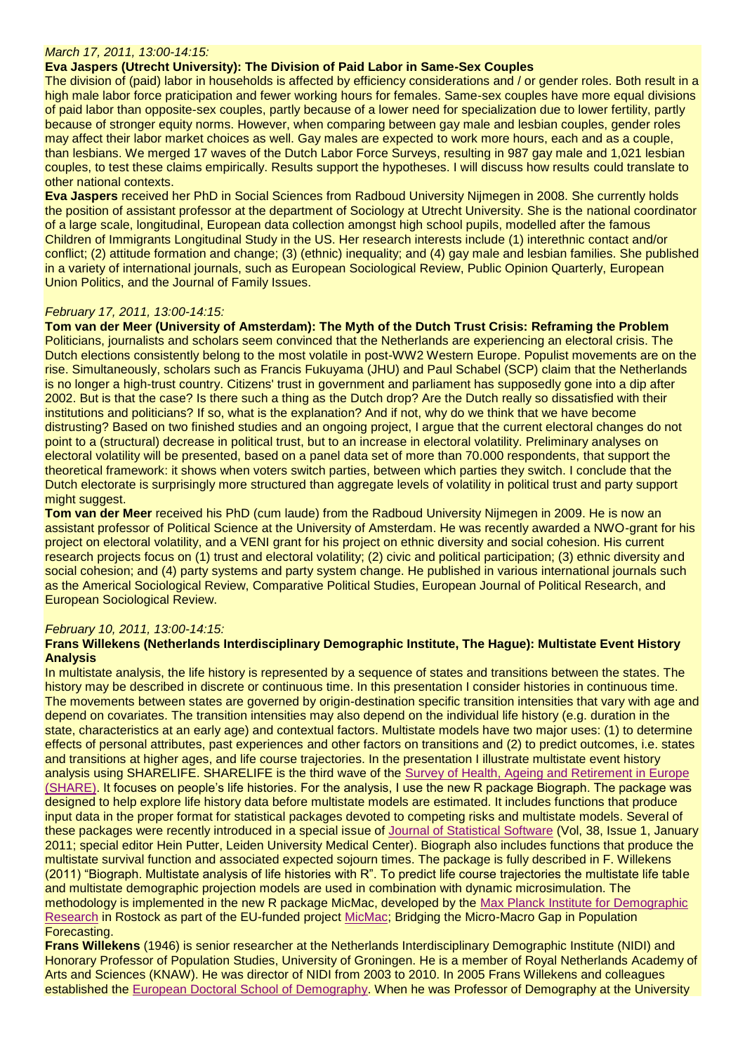#### *March 17, 2011, 13:00-14:15:*

# **Eva Jaspers (Utrecht University): The Division of Paid Labor in Same-Sex Couples**

The division of (paid) labor in households is affected by efficiency considerations and / or gender roles. Both result in a high male labor force praticipation and fewer working hours for females. Same-sex couples have more equal divisions of paid labor than opposite-sex couples, partly because of a lower need for specialization due to lower fertility, partly because of stronger equity norms. However, when comparing between gay male and lesbian couples, gender roles may affect their labor market choices as well. Gay males are expected to work more hours, each and as a couple, than lesbians. We merged 17 waves of the Dutch Labor Force Surveys, resulting in 987 gay male and 1,021 lesbian couples, to test these claims empirically. Results support the hypotheses. I will discuss how results could translate to other national contexts.

**Eva Jaspers** received her PhD in Social Sciences from Radboud University Nijmegen in 2008. She currently holds the position of assistant professor at the department of Sociology at Utrecht University. She is the national coordinator of a large scale, longitudinal, European data collection amongst high school pupils, modelled after the famous Children of Immigrants Longitudinal Study in the US. Her research interests include (1) interethnic contact and/or conflict; (2) attitude formation and change; (3) (ethnic) inequality; and (4) gay male and lesbian families. She published in a variety of international journals, such as European Sociological Review, Public Opinion Quarterly, European Union Politics, and the Journal of Family Issues.

## *February 17, 2011, 13:00-14:15:*

**Tom van der Meer (University of Amsterdam): The Myth of the Dutch Trust Crisis: Reframing the Problem** Politicians, journalists and scholars seem convinced that the Netherlands are experiencing an electoral crisis. The Dutch elections consistently belong to the most volatile in post-WW2 Western Europe. Populist movements are on the rise. Simultaneously, scholars such as Francis Fukuyama (JHU) and Paul Schabel (SCP) claim that the Netherlands is no longer a high-trust country. Citizens' trust in government and parliament has supposedly gone into a dip after 2002. But is that the case? Is there such a thing as the Dutch drop? Are the Dutch really so dissatisfied with their institutions and politicians? If so, what is the explanation? And if not, why do we think that we have become distrusting? Based on two finished studies and an ongoing project, I argue that the current electoral changes do not point to a (structural) decrease in political trust, but to an increase in electoral volatility. Preliminary analyses on electoral volatility will be presented, based on a panel data set of more than 70.000 respondents, that support the theoretical framework: it shows when voters switch parties, between which parties they switch. I conclude that the Dutch electorate is surprisingly more structured than aggregate levels of volatility in political trust and party support might suggest.

**Tom van der Meer** received his PhD (cum laude) from the Radboud University Nijmegen in 2009. He is now an assistant professor of Political Science at the University of Amsterdam. He was recently awarded a NWO-grant for his project on electoral volatility, and a VENI grant for his project on ethnic diversity and social cohesion. His current research projects focus on (1) trust and electoral volatility; (2) civic and political participation; (3) ethnic diversity and social cohesion; and (4) party systems and party system change. He published in various international journals such as the Americal Sociological Review, Comparative Political Studies, European Journal of Political Research, and European Sociological Review.

# *February 10, 2011, 13:00-14:15:*

## **Frans Willekens (Netherlands Interdisciplinary Demographic Institute, The Hague): Multistate Event History Analysis**

In multistate analysis, the life history is represented by a sequence of states and transitions between the states. The history may be described in discrete or continuous time. In this presentation I consider histories in continuous time. The movements between states are governed by origin-destination specific transition intensities that vary with age and depend on covariates. The transition intensities may also depend on the individual life history (e.g. duration in the state, characteristics at an early age) and contextual factors. Multistate models have two major uses: (1) to determine effects of personal attributes, past experiences and other factors on transitions and (2) to predict outcomes, i.e. states and transitions at higher ages, and life course trajectories. In the presentation I illustrate multistate event history analysis using SHARELIFE. SHARELIFE is the third wave of the [Survey of Health, Ageing and Retirement in Europe](http://www.share-project.org/sharelife)  [\(SHARE\).](http://www.share-project.org/sharelife) It focuses on people's life histories. For the analysis, I use the new R package Biograph. The package was designed to help explore life history data before multistate models are estimated. It includes functions that produce input data in the proper format for statistical packages devoted to competing risks and multistate models. Several of these packages were recently introduced in a special issue of [Journal of Statistical Software](http://www.jstatsoft.org/) (Vol, 38, Issue 1, January 2011; special editor Hein Putter, Leiden University Medical Center). Biograph also includes functions that produce the multistate survival function and associated expected sojourn times. The package is fully described in F. Willekens (2011) "Biograph. Multistate analysis of life histories with R". To predict life course trajectories the multistate life table and multistate demographic projection models are used in combination with dynamic microsimulation. The methodology is implemented in the new R package MicMac, developed by the [Max Planck Institute for Demographic](http://www.demogr.mpg.de/en/research/1272.htm)  [Research](http://www.demogr.mpg.de/en/research/1272.htm) in Rostock as part of the EU-funded project [MicMac;](http://www.micmac-projections.org/) Bridging the Micro-Macro Gap in Population Forecasting.

**Frans Willekens** (1946) is senior researcher at the Netherlands Interdisciplinary Demographic Institute (NIDI) and Honorary Professor of Population Studies, University of Groningen. He is a member of Royal Netherlands Academy of Arts and Sciences (KNAW). He was director of NIDI from 2003 to 2010. In 2005 Frans Willekens and colleagues established the [European Doctoral School of Demography.](http://www.eds-demography.org/) When he was Professor of Demography at the University